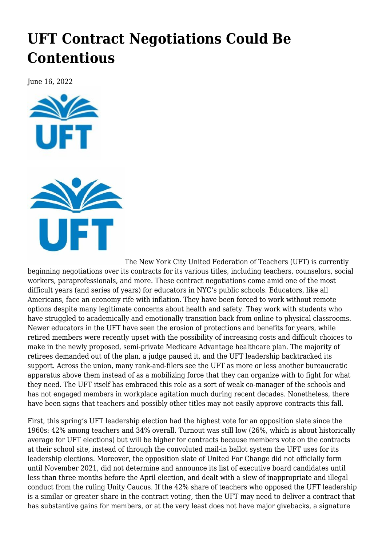## **[UFT Contract Negotiations Could Be](https://newpol.org/uft-contract-negotiations-could-be-contentious/) [Contentious](https://newpol.org/uft-contract-negotiations-could-be-contentious/)**

June 16, 2022





The New York City United Federation of Teachers (UFT) is currently beginning negotiations over its contracts for its various titles, including teachers, counselors, social workers, paraprofessionals, and more. These contract negotiations come amid one of the most difficult years (and series of years) for educators in NYC's public schools. Educators, like all Americans, face an economy rife with inflation. They have been forced to work without remote options despite many legitimate concerns about health and safety. They work with students who have struggled to academically and emotionally transition back from online to physical classrooms. Newer educators in the UFT have seen the erosion of protections and benefits for years, while retired members were recently upset with the possibility of increasing costs and difficult choices to make in the newly proposed, semi-private Medicare Advantage healthcare plan. The majority of retirees demanded out of the plan, a judge paused it, and the UFT leadership backtracked its support. Across the union, many rank-and-filers see the UFT as more or less another bureaucratic apparatus above them instead of as a mobilizing force that they can organize with to fight for what they need. [The UFT itself](https://newpol.org/voting-ends-soon-in-uft-elections-a-referendum-on-leadership-the-past-two-years/) has embraced this role as a sort of weak co-manager of the schools and has not engaged members in workplace agitation much during recent decades. Nonetheless, there have been signs that teachers and possibly other titles may not easily approve contracts this fall.

First, [this spring's UFT leadership election](https://www.uft.org/your-union/uft-elections-2022/2022-election-results) had the highest vote for an opposition slate since the 1960s: 42% among teachers and 34% overall. Turnout was still low (26%, which is about historically average for UFT elections) but will be higher for contracts because members vote on the contracts at their school site, instead of through the convoluted mail-in ballot system the UFT uses for its leadership elections. Moreover, the opposition slate of [United For Change](https://unitedforchange.vote/) did not officially form until November 2021, did not determine and announce its list of executive board candidates until less than three months before the April election, and dealt with a slew of [inappropriate and illegal](https://www.spreaker.com/user/14957478/ep-45-the-uftwilight-zone-pt-1-feat-chri) conduct from the ruling Unity Caucus. If the 42% share of teachers who opposed the UFT leadership is a similar or greater share in the contract voting, then the UFT may need to deliver a contract that has substantive gains for members, or at the very least does not have major givebacks, a signature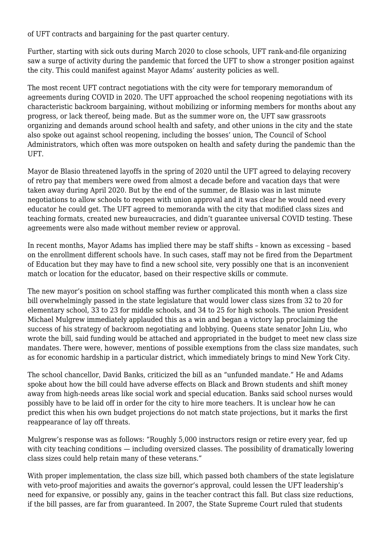of UFT contracts and bargaining for the past quarter century.

Further, starting with sick outs during March 2020 to close schools, UFT rank-and-file organizing saw a surge of activity during the pandemic that forced the UFT to show a stronger position against the city. This could manifest against Mayor Adams' austerity policies as well.

The most recent UFT contract negotiations with the city were for temporary memorandum of agreements during COVID in 2020. The UFT approached the school reopening negotiations with its characteristic backroom bargaining, without mobilizing or informing members for months about any progress, or lack thereof, being made. But as the summer wore on, the UFT saw grassroots organizing and demands around school health and safety, and other unions in the city and the state also spoke out against school reopening, including [the bosses' union](https://www.politico.com/states/f/?id=00000173-e440-dd55-abfb-eed971d10000), The Council of School Administrators, which often was more outspoken on health and safety during the pandemic than the UFT.

Mayor de Blasio threatened layoffs in the spring of 2020 until the UFT agreed to delaying recovery of retro pay that members were owed from almost a decade before and vacation days that were taken away during April 2020. But by the end of the summer, de Blasio was in last minute negotiations to allow schools to reopen with union approval and it was clear he would need every educator he could get. The UFT agreed to memoranda with the city that modified class sizes and teaching formats, created new bureaucracies, and didn't guarantee universal COVID testing. These agreements were also made without member review or approval.

In recent months, Mayor Adams has implied there may be staff shifts – known as excessing – based on the enrollment different schools have. In such cases, staff may not be fired from the Department of Education but they may have to find a new school site, very possibly one that is an inconvenient match or location for the educator, based on their respective skills or commute.

The new mayor's position on school staffing was further complicated this month when [a class size](https://www.nbcnewyork.com/news/local/state-lawmakers-pass-bill-to-cap-class-size-at-nyc-public-schools-what-to-know/3719389/) [bill overwhelmingly passed in the state legislature](https://www.nbcnewyork.com/news/local/state-lawmakers-pass-bill-to-cap-class-size-at-nyc-public-schools-what-to-know/3719389/) that would lower class sizes from 32 to 20 for elementary school, 33 to 23 for middle schools, and 34 to 25 for high schools. The union President Michael Mulgrew immediately applauded this as a win and began a victory lap proclaiming the success of his strategy of backroom negotiating and lobbying. Queens state senator John Liu, who wrote the bill, said funding would be attached and appropriated in the budget to meet new class size mandates. There were, however, mentions of possible exemptions from the class size mandates, such as for economic hardship in a particular district, which immediately brings to mind New York City.

The school chancellor, David Banks, criticized the bill as an "unfunded mandate." He and Adams spoke about how the bill could have adverse effects on Black and Brown students and shift money away from high-needs areas like social work and special education. Banks said school nurses would possibly have to be laid off in order for the city to hire more teachers. It is unclear how he can predict this when his own budget projections do not match state projections, but it marks the first reappearance of lay off threats.

Mulgrew's response was as follows: "Roughly 5,000 instructors resign or retire every year, fed up with city teaching conditions — including oversized classes. The possibility of dramatically lowering class sizes could help retain many of these veterans."

With proper implementation, the class size bill, which passed both chambers of the state legislature with veto-proof majorities and awaits the governor's approval, could lessen the UFT leadership's need for expansive, or possibly any, gains in the teacher contract this fall. But class size reductions, if the bill passes, are far from guaranteed. In 2007, the State Supreme Court ruled that students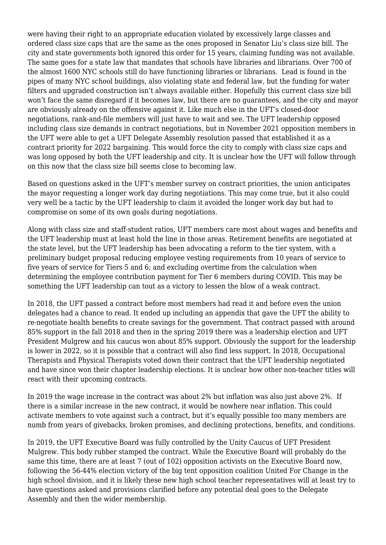were having their right to an appropriate education violated by excessively large classes and ordered class size caps that are the same as the ones proposed in Senator Liu's class size bill. The city and state governments both ignored this order for 15 years, claiming funding was not available. The same goes for a state law that mandates that schools have libraries and librarians. Over 700 of the almost 1600 NYC schools still do have functioning libraries or librarians. Lead is found in the pipes of many NYC school buildings, also violating state and federal law, but the funding for water filters and upgraded construction isn't always available either. Hopefully this current class size bill won't face the same disregard if it becomes law, but there are no guarantees, and the city and mayor are obviously already on the offensive against it. Like much else in the UFT's closed-door negotiations, rank-and-file members will just have to wait and see. The UFT leadership opposed including class size demands in contract negotiations, but in November 2021 opposition members in the UFT were able to get a UFT Delegate Assembly resolution passed that established it as a contract priority for 2022 bargaining. This would force the city to comply with class size caps and was long opposed by both the UFT leadership and city. It is unclear how the UFT will follow through on this now that the class size bill seems close to becoming law.

Based on questions asked in the UFT's member survey on contract priorities, the union anticipates the mayor requesting a longer work day during negotiations. This may come true, but it also could very well be a tactic by the UFT leadership to claim it avoided the longer work day but had to compromise on some of its own goals during negotiations.

Along with class size and staff-student ratios, UFT members care most about wages and benefits and the UFT leadership must at least hold the line in those areas. Retirement benefits are negotiated at the state level, but the UFT leadership has been advocating a reform to the tier system, with a preliminary budget proposal reducing employee vesting requirements from 10 years of service to five years of service for Tiers 5 and 6; and excluding overtime from the calculation when determining the employee contribution payment for Tier 6 members during COVID. This may be something the UFT leadership can tout as a victory to lessen the blow of a weak contract.

In 2018, the UFT passed a contract before most members had read it and before even the union delegates had a chance to read. It ended up including an appendix that gave the UFT the ability to re-negotiate health benefits to create savings for the government. That contract passed with around 85% support in the fall 2018 and then in the spring 2019 there was a leadership election and UFT President Mulgrew and his caucus won about 85% support. Obviously the support for the leadership is lower in 2022, so it is possible that a contract will also find less support. In 2018, Occupational Therapists and Physical Therapists voted down their contract that the UFT leadership negotiated and have since won their chapter leadership elections. It is unclear how other non-teacher titles will react with their upcoming contracts.

In 2019 the wage increase in the contract was about 2% but inflation was also just above 2%. If there is a similar increase in the new contract, it would be nowhere near inflation. This could activate members to vote against such a contract, but it's equally possible too many members are numb from years of givebacks, broken promises, and declining protections, benefits, and conditions.

In 2019, the UFT Executive Board was fully controlled by the Unity Caucus of UFT President Mulgrew. This body rubber stamped the contract. While the Executive Board will probably do the same this time, there are at least 7 (out of 102) opposition activists on the Executive Board now, following the 56-44% election victory of the big tent opposition coalition United For Change in the high school division, and it is likely these new high school teacher representatives will at least try to have questions asked and provisions clarified before any potential deal goes to the Delegate Assembly and then the wider membership.